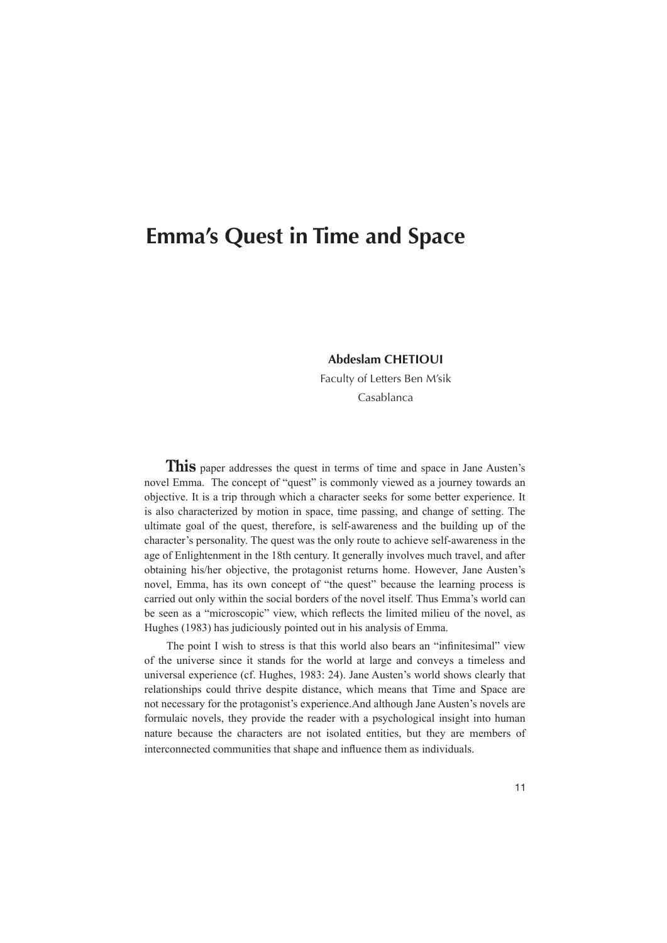## **Emma's Quest in Time and Space**

## **CHETIOUI Abdeslam**

Faculty of Letters Ben M'sik Casablanca

**This** paper addresses the quest in terms of time and space in Jane Austen's novel Emma. The concept of "quest" is commonly viewed as a journey towards an objective. It is a trip through which a character seeks for some better experience. It is also characterized by motion in space, time passing, and change of setting. The ultimate goal of the quest, therefore, is self-awareness and the building up of the character's personality. The quest was the only route to achieve self-awareness in the age of Enlightenment in the 18th century. It generally involves much travel, and after obtaining his/her objective, the protagonist returns home. However, Jane Austen's novel, Emma, has its own concept of "the quest" because the learning process is carried out only within the social borders of the novel itself. Thus Emma's world can be seen as a "microscopic" view, which reflects the limited milieu of the novel, as Hughes (1983) has judiciously pointed out in his analysis of Emma.

The point I wish to stress is that this world also bears an "infinitesimal" view of the universe since it stands for the world at large and conveys a timeless and universal experience (cf. Hughes, 1983: 24). Jane Austen's world shows clearly that relationships could thrive despite distance, which means that Time and Space are not necessary for the protagonist's experience. And although Jane Austen's novels are formulaic novels, they provide the reader with a psychological insight into human nature because the characters are not isolated entities, but they are members of interconnected communities that shape and influence them as individuals.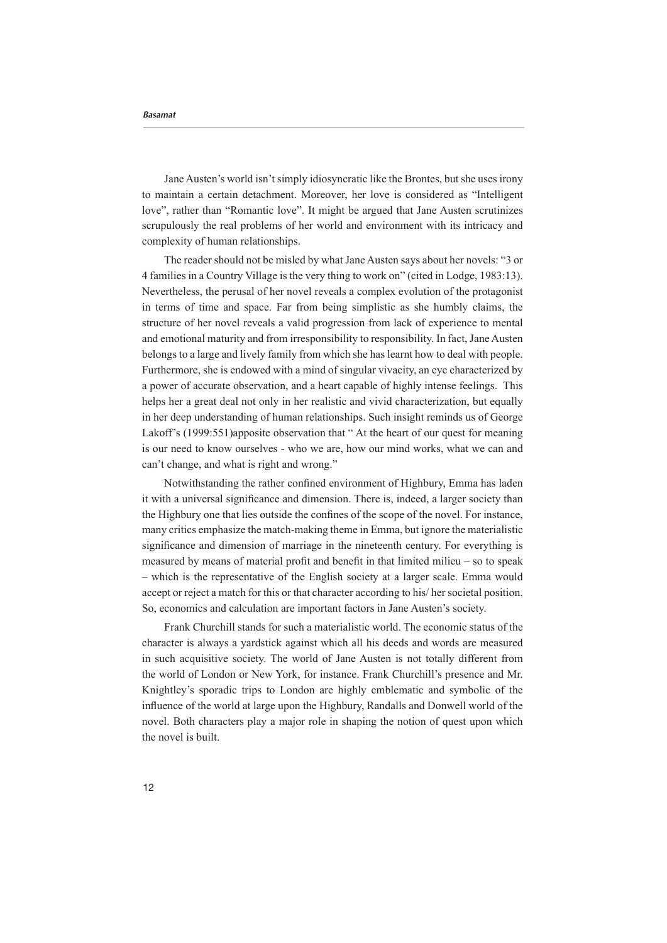Jane Austen's world isn't simply idiosyncratic like the Brontes, but she uses irony to maintain a certain detachment. Moreover, her love is considered as "Intelligent love", rather than "Romantic love". It might be argued that Jane Austen scrutinizes scrupulously the real problems of her world and environment with its intricacy and complexity of human relationships.

The reader should not be misled by what Jane Austen says about her novels: "3 or 4 families in a Country Village is the very thing to work on" (cited in Lodge, 1983:13). Nevertheless, the perusal of her novel reveals a complex evolution of the protagonist in terms of time and space. Far from being simplistic as she humbly claims, the structure of her novel reveals a valid progression from lack of experience to mental and emotional maturity and from irresponsibility to responsibility. In fact, Jane Austen belongs to a large and lively family from which she has learnt how to deal with people. Furthermore, she is endowed with a mind of singular vivacity, an eve characterized by a power of accurate observation, and a heart capable of highly intense feelings. This helps her a great deal not only in her realistic and vivid characterization, but equally in her deep understanding of human relationships. Such insight reminds us of George Lakoff's (1999:551) apposite observation that " At the heart of our quest for meaning is our need to know ourselves - who we are, how our mind works, what we can and can't change, and what is right and wrong."

Notwithstanding the rather confined environment of Highbury, Emma has laden it with a universal significance and dimension. There is, indeed, a larger society than the Highbury one that lies outside the confines of the scope of the novel. For instance, many critics emphasize the match-making theme in Emma, but ignore the materialistic significance and dimension of marriage in the nineteenth century. For everything is measured by means of material profit and benefit in that limited milieu  $-$  so to speak — which is the representative of the English society at a larger scale. Emma would accept or reject a match for this or that character according to his/ her societal position. So, economics and calculation are important factors in Jane Austen's society.

Frank Churchill stands for such a materialistic world. The economic status of the character is always a yardstick against which all his deeds and words are measured in such acquisitive society. The world of Jane Austen is not totally different from the world of London or New York, for instance. Frank Churchill's presence and Mr. Knightley's sporadic trips to London are highly emblematic and symbolic of the influence of the world at large upon the Highbury, Randalls and Donwell world of the novel. Both characters play a major role in shaping the notion of quest upon which the novel is built.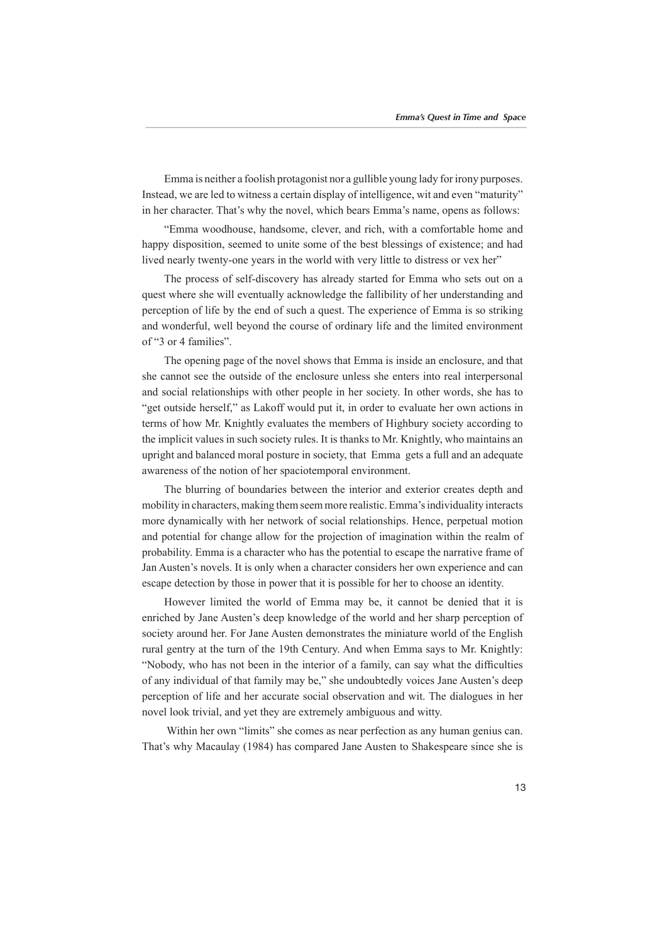Emma is neither a foolish protagonist nor a gullible young lady for irony purposes. Instead, we are led to witness a certain display of intelligence, wit and even "maturity" in her character. That's why the novel, which bears Emma's name, opens as follows:

"Emma woodhouse, handsome, clever, and rich, with a comfortable home and happy disposition, seemed to unite some of the best blessings of existence; and had lived nearly twenty-one years in the world with very little to distress or vex her"

The process of self-discovery has already started for Emma who sets out on a quest where she will eventually acknowledge the fallibility of her understanding and perception of life by the end of such a quest. The experience of Emma is so striking and wonderful, well beyond the course of ordinary life and the limited environment of "3 or 4 families".

The opening page of the novel shows that Emma is inside an enclosure, and that she cannot see the outside of the enclosure unless she enters into real interpersonal and social relationships with other people in her society. In other words, she has to "get outside herself," as Lakoff would put it, in order to evaluate her own actions in terms of how Mr. Knightly evaluates the members of Highbury society according to the implicit values in such society rules. It is thanks to Mr. Knightly, who maintains an upright and balanced moral posture in society, that Emma gets a full and an adequate awareness of the notion of her spaciotemporal environment.

The blurring of boundaries between the interior and exterior creates depth and mobility in characters, making them seem more realistic. Emma's individuality interacts more dynamically with her network of social relationships. Hence, perpetual motion and potential for change allow for the projection of imagination within the realm of probability. Emma is a character who has the potential to escape the narrative frame of Jan Austen's novels. It is only when a character considers her own experience and can escape detection by those in power that it is possible for her to choose an identity.

However limited the world of Emma may be, it cannot be denied that it is enriched by Jane Austen's deep knowledge of the world and her sharp perception of society around her. For Jane Austen demonstrates the miniature world of the English rural gentry at the turn of the 19th Century. And when Emma says to Mr. Knightly: "Nobody, who has not been in the interior of a family, can say what the difficulties of any individual of that family may be," she undoubtedly voices Jane Austen's deep perception of life and her accurate social observation and wit. The dialogues in her novel look trivial, and yet they are extremely ambiguous and witty.

Within her own "limits" she comes as near perfection as any human genius can. That's why Macaulay (1984) has compared Jane Austen to Shakespeare since she is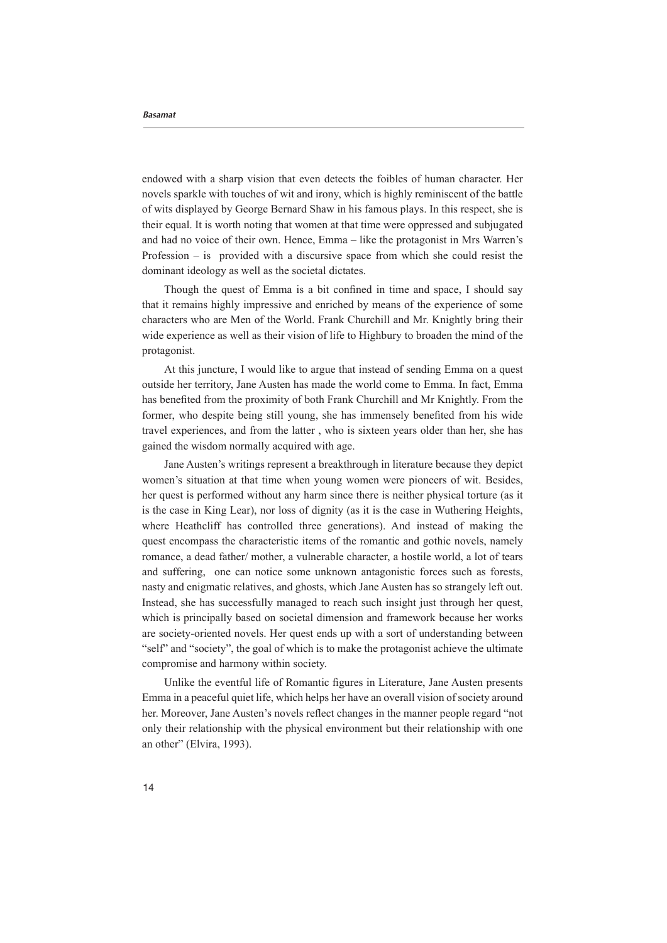endowed with a sharp vision that even detects the foibles of human character. Her novels sparkle with touches of wit and irony, which is highly reminiscent of the battle of wits displayed by George Bernard Shaw in his famous plays. In this respect, she is their equal. It is worth noting that women at that time were oppressed and subjugated and had no voice of their own. Hence, Emma – like the protagonist in Mrs Warren's Profession – is provided with a discursive space from which she could resist the dominant ideology as well as the societal dictates.

Though the quest of Emma is a bit confined in time and space. I should say that it remains highly impressive and enriched by means of the experience of some characters who are Men of the World. Frank Churchill and Mr. Knightly bring their wide experience as well as their vision of life to Highbury to broaden the mind of the .protagonist

At this juncture, I would like to argue that instead of sending Emma on a quest outside her territory, Jane Austen has made the world come to Emma. In fact, Emma has benefited from the proximity of both Frank Churchill and Mr Knightly. From the former, who despite being still young, she has immensely benefited from his wide travel experiences, and from the latter, who is sixteen years older than her, she has gained the wisdom normally acquired with age.

Jane Austen's writings represent a breakthrough in literature because they depict women's situation at that time when young women were pioneers of wit. Besides, her quest is performed without any harm since there is neither physical torture (as it is the case in King Lear), nor loss of dignity (as it is the case in Wuthering Heights, where Heathcliff has controlled three generations). And instead of making the quest encompass the characteristic items of the romantic and gothic novels, namely romance, a dead father/ mother, a vulnerable character, a hostile world, a lot of tears and suffering, one can notice some unknown antagonistic forces such as forests. nasty and enigmatic relatives, and ghosts, which Jane Austen has so strangely left out. Instead, she has successfully managed to reach such insight just through her quest, which is principally based on societal dimension and framework because her works are society-oriented novels. Her quest ends up with a sort of understanding between "self" and "society", the goal of which is to make the protagonist achieve the ultimate compromise and harmony within society.

Unlike the eventful life of Romantic figures in Literature, Jane Austen presents Emma in a peaceful quiet life, which helps her have an overall vision of society around her. Moreover, Jane Austen's novels reflect changes in the manner people regard "not only their relationship with the physical environment but their relationship with one an other" (Elvira, 1993).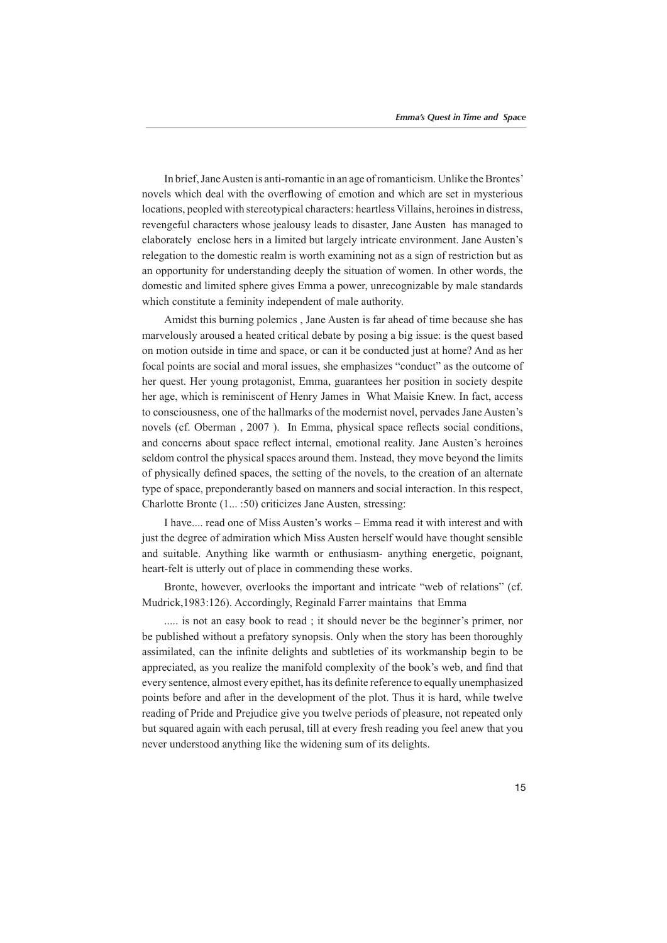In brief, Jane Austen is anti-romantic in an age of romanticism. Unlike the Brontes' novels which deal with the overflowing of emotion and which are set in mysterious locations, peopled with stereotypical characters: heartless Villains, heroines in distress, revengeful characters whose jealousy leads to disaster, Jane Austen has managed to elaborately enclose hers in a limited but largely intricate environment. Jane Austen's relegation to the domestic realm is worth examining not as a sign of restriction but as an opportunity for understanding deeply the situation of women. In other words, the domestic and limited sphere gives Emma a power, unrecognizable by male standards which constitute a feminity independent of male authority.

Amidst this burning polemics, Jane Austen is far ahead of time because she has marvelously aroused a heated critical debate by posing a big issue: is the quest based on motion outside in time and space, or can it be conducted just at home? And as her focal points are social and moral issues, she emphasizes "conduct" as the outcome of her quest. Her young protagonist, Emma, guarantees her position in society despite her age, which is reminiscent of Henry James in What Maisie Knew. In fact, access to consciousness, one of the hallmarks of the modernist novel, pervades Jane Austen's novels (cf. Oberman , 2007). In Emma, physical space reflects social conditions. and concerns about space reflect internal, emotional reality. Jane Austen's heroines seldom control the physical spaces around them. Instead, they move beyond the limits of physically defined spaces, the setting of the novels, to the creation of an alternate type of space, preponderantly based on manners and social interaction. In this respect, Charlotte Bronte (1... :50) criticizes Jane Austen, stressing:

I have.... read one of Miss Austen's works – Emma read it with interest and with just the degree of admiration which Miss Austen herself would have thought sensible and suitable. Anything like warmth or enthusiasm- anything energetic, poignant, heart-felt is utterly out of place in commending these works.

Bronte, however, overlooks the important and intricate "web of relations" (cf. Mudrick, 1983:126). Accordingly, Reginald Farrer maintains that Emma

..... is not an easy book to read ; it should never be the beginner's primer, nor be published without a prefatory synopsis. Only when the story has been thoroughly assimilated, can the infinite delights and subtleties of its workmanship begin to be appreciated, as you realize the manifold complexity of the book's web, and find that every sentence, almost every epithet, has its definite reference to equally unemphasized points before and after in the development of the plot. Thus it is hard, while twelve reading of Pride and Prejudice give you twelve periods of pleasure, not repeated only but squared again with each perusal, till at every fresh reading you feel anew that you never understood anything like the widening sum of its delights.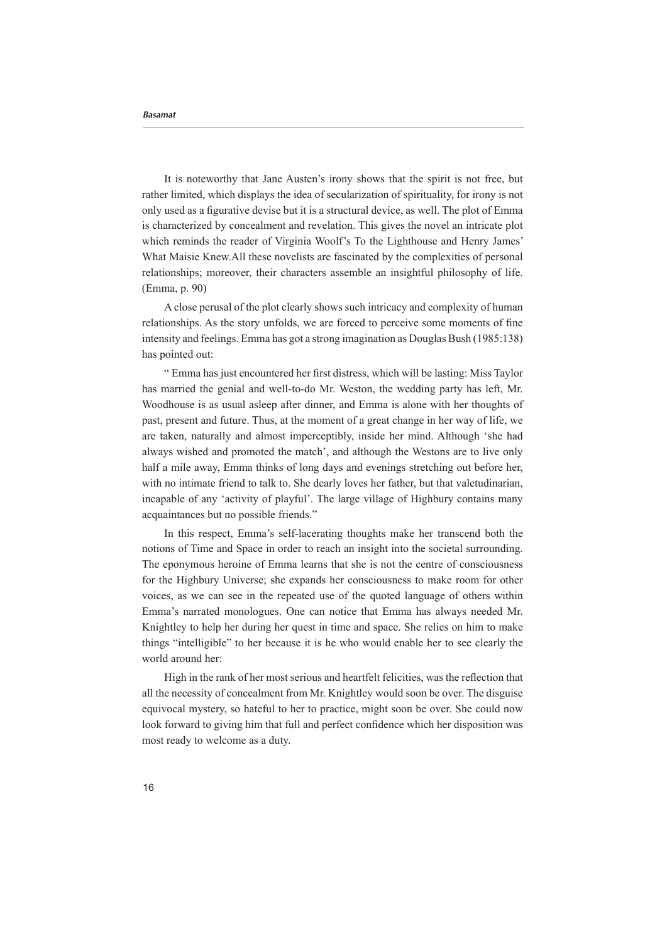It is noteworthy that Jane Austen's irony shows that the spirit is not free, but rather limited, which displays the idea of secularization of spirituality, for irony is not only used as a figurative devise but it is a structural device, as well. The plot of Emma is characterized by concealment and revelation. This gives the novel an intricate plot which reminds the reader of Virginia Woolf's To the Lighthouse and Henry James' What Maisie Knew All these novelists are fascinated by the complexities of personal relationships; moreover, their characters assemble an insightful philosophy of life. (Emma, p. 90)

A close perusal of the plot clearly shows such intricacy and complexity of human relationships. As the story unfolds, we are forced to perceive some moments of fine intensity and feelings. Emma has got a strong imagination as Douglas Bush (1985:138) has pointed out:

" Emma has just encountered her first distress, which will be lasting: Miss Taylor has married the genial and well-to-do Mr. Weston, the wedding party has left, Mr. Woodhouse is as usual asleep after dinner, and Emma is alone with her thoughts of past, present and future. Thus, at the moment of a great change in her way of life, we are taken, naturally and almost imperceptibly, inside her mind. Although 'she had always wished and promoted the match', and although the Westons are to live only half a mile away, Emma thinks of long days and evenings stretching out before her, with no intimate friend to talk to. She dearly loves her father, but that valetudinarian, incapable of any 'activity of playful'. The large village of Highbury contains many acquaintances but no possible friends."

In this respect, Emma's self-lacerating thoughts make her transcend both the notions of Time and Space in order to reach an insight into the societal surrounding. The eponymous heroine of Emma learns that she is not the centre of consciousness for the Highbury Universe; she expands her consciousness to make room for other voices, as we can see in the repeated use of the quoted language of others within Emma's narrated monologues. One can notice that Emma has always needed Mr. Knightley to help her during her quest in time and space. She relies on him to make things "intelligible" to her because it is he who would enable her to see clearly the world around her:

High in the rank of her most serious and heartfelt felicities, was the reflection that all the necessity of concealment from Mr. Knightley would soon be over. The disguise equivocal mystery, so hateful to her to practice, might soon be over. She could now look forward to giving him that full and perfect confidence which her disposition was most ready to welcome as a duty.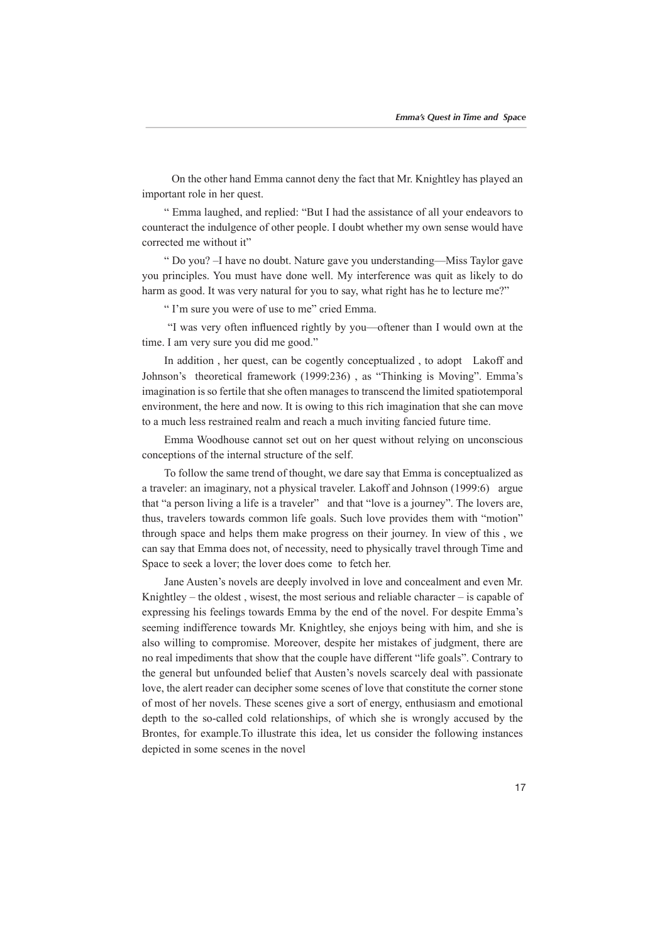On the other hand Emma cannot deny the fact that Mr. Knightley has played an important role in her quest.

" Emma laughed, and replied: "But I had the assistance of all your endeavors to counteract the indulgence of other people. I doubt whether my own sense would have corrected me without it"

" Do you? –I have no doubt. Nature gave you understanding —Miss Taylor gave you principles. You must have done well. My interference was quit as likely to do harm as good. It was very natural for you to say, what right has he to lecture me?"

" I'm sure you were of use to me" cried Emma.

"I was very often influenced rightly by you—oftener than I would own at the time. I am very sure you did me good."

In addition, her quest, can be cogently conceptualized, to adopt Lakoff and Johnson's theoretical framework (1999:236), as "Thinking is Moving". Emma's imagination is so fertile that she often manages to transcend the limited spatiotemporal environment, the here and now. It is owing to this rich imagination that she can move to a much less restrained realm and reach a much inviting fancied future time.

Emma Woodhouse cannot set out on her quest without relying on unconscious conceptions of the internal structure of the self.

To follow the same trend of thought, we dare say that Emma is conceptualized as a traveler: an imaginary, not a physical traveler. Lakoff and Johnson (1999:6) argue that "a person living a life is a traveler" and that "love is a journey". The lovers are, thus, travelers towards common life goals. Such love provides them with "motion" through space and helps them make progress on their journey. In view of this, we can say that Emma does not, of necessity, need to physically travel through Time and Space to seek a lover; the lover does come to fetch her.

Jane Austen's novels are deeply involved in love and concealment and even Mr. Knightley – the oldest, wisest, the most serious and reliable character – is capable of expressing his feelings towards Emma by the end of the novel. For despite Emma's seeming indifference towards Mr. Knightley, she enjoys being with him, and she is also willing to compromise. Moreover, despite her mistakes of judgment, there are no real impediments that show that the couple have different "life goals". Contrary to the general but unfounded belief that Austen's novels scarcely deal with passionate love, the alert reader can decipher some scenes of love that constitute the corner stone of most of her novels. These scenes give a sort of energy, enthusiasm and emotional depth to the so-called cold relationships, of which she is wrongly accused by the Brontes, for example To illustrate this idea, let us consider the following instances depicted in some scenes in the novel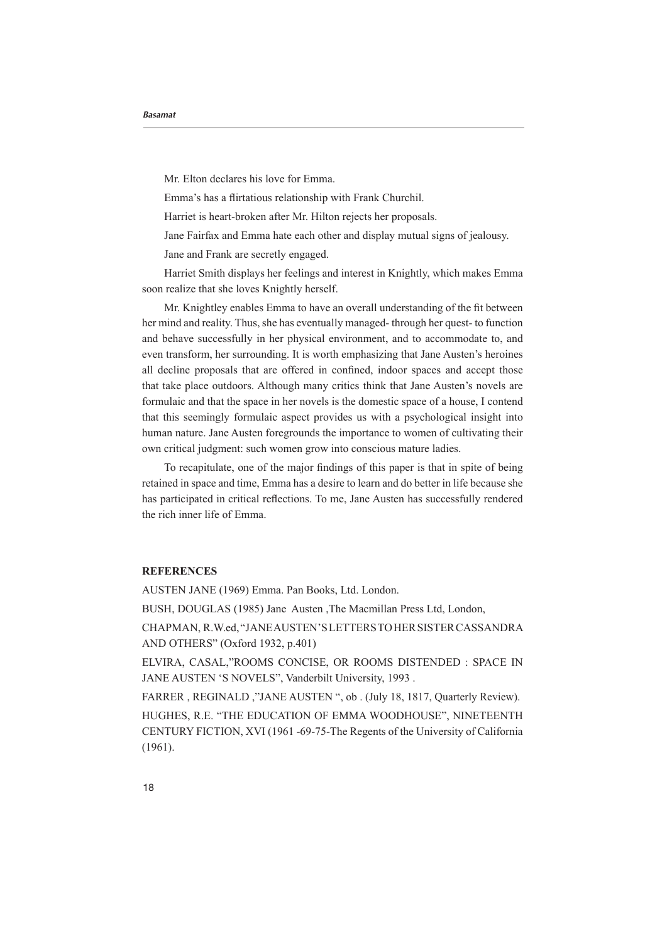Mr. Elton declares his love for Emma.

Emma's has a flirtatious relationship with Frank Churchil.

Harriet is heart-broken after Mr. Hilton rejects her proposals.

Jane Fairfax and Emma hate each other and display mutual signs of jealousy.

Jane and Frank are secretly engaged.

Harriet Smith displays her feelings and interest in Knightly, which makes Emma soon realize that she loves Knightly herself.

Mr. Knightley enables Emma to have an overall understanding of the fit between function to -quest- to function her quest- to function  $\frac{d\mu}{dt}$  . Thus, she has eventually managed-through her quest- to function and behave successfully in her physical environment, and to accommodate to, and even transform, her surrounding. It is worth emphasizing that Jane Austen's heroines all decline proposals that are offered in confined, indoor spaces and accept those that take place outdoors. Although many critics think that Jane Austen's novels are formulaic and that the space in her novels is the domestic space of a house, I contend that this seemingly formulaic aspect provides us with a psychological insight into human nature. Jane Austen foregrounds the importance to women of cultivating their own critical judgment: such women grow into conscious mature ladies.

To recapitulate, one of the major findings of this paper is that in spite of being retained in space and time, Emma has a desire to learn and do better in life because she has participated in critical reflections. To me, Jane Austen has successfully rendered the rich inner life of Emma.

## **REFERENCES**

AUSTEN JANE (1969) Emma. Pan Books, Ltd. London.

BUSH, DOUGLAS (1985) Jane Austen ,The Macmillan Press Ltd, London,

CHAPMAN, R.W.ed, "JANE AUSTEN'S LETTERS TO HER SISTER CASSANDRA AND OTHERS" (Oxford 1932, p.401)

ELVIRA, CASAL,"ROOMS CONCISE, OR ROOMS DISTENDED : SPACE IN JANE AUSTEN 'S NOVELS", Vanderbilt University, 1993.

FARRER, REGINALD, "JANE AUSTEN ", ob. (July 18, 1817, Quarterly Review).

HUGHES, R.E. "THE EDUCATION OF EMMA WOODHOUSE", NINETEENTH CENTURY FICTION, XVI (1961-69-75- The Regents of the University of California  $(1961)$ .